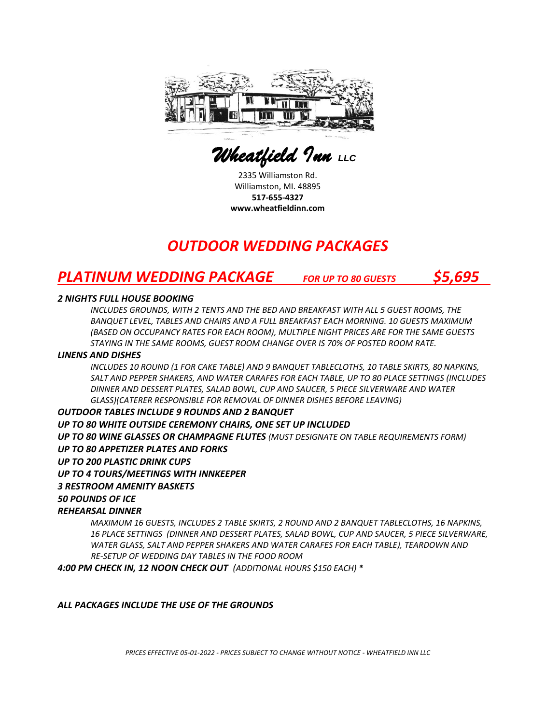

 *Wheatfield Inn LLC* 

2335 Williamston Rd. Williamston, MI. 48895 **517-655-4327 www.wheatfieldinn.com**

# *OUTDOOR WEDDING PACKAGES*

# *PLATINUM WEDDING PACKAGE FOR UP TO 80 GUESTS \$5,695*

#### *2 NIGHTS FULL HOUSE BOOKING*

*INCLUDES GROUNDS, WITH 2 TENTS AND THE BED AND BREAKFAST WITH ALL 5 GUEST ROOMS, THE BANQUET LEVEL, TABLES AND CHAIRS AND A FULL BREAKFAST EACH MORNING. 10 GUESTS MAXIMUM (BASED ON OCCUPANCY RATES FOR EACH ROOM), MULTIPLE NIGHT PRICES ARE FOR THE SAME GUESTS STAYING IN THE SAME ROOMS, GUEST ROOM CHANGE OVER IS 70% OF POSTED ROOM RATE.*

#### *LINENS AND DISHES*

*INCLUDES 10 ROUND (1 FOR CAKE TABLE) AND 9 BANQUET TABLECLOTHS, 10 TABLE SKIRTS, 80 NAPKINS, SALT AND PEPPER SHAKERS, AND WATER CARAFES FOR EACH TABLE, UP TO 80 PLACE SETTINGS (INCLUDES DINNER AND DESSERT PLATES, SALAD BOWL, CUP AND SAUCER, 5 PIECE SILVERWARE AND WATER GLASS)(CATERER RESPONSIBLE FOR REMOVAL OF DINNER DISHES BEFORE LEAVING)*

#### *OUTDOOR TABLES INCLUDE 9 ROUNDS AND 2 BANQUET*

## *UP TO 80 WHITE OUTSIDE CEREMONY CHAIRS, ONE SET UP INCLUDED*

*UP TO 80 WINE GLASSES OR CHAMPAGNE FLUTES (MUST DESIGNATE ON TABLE REQUIREMENTS FORM) UP TO 80 APPETIZER PLATES AND FORKS*

#### *UP TO 200 PLASTIC DRINK CUPS*

#### *UP TO 4 TOURS/MEETINGS WITH INNKEEPER*

#### *3 RESTROOM AMENITY BASKETS*

#### *50 POUNDS OF ICE*

## *REHEARSAL DINNER*

*MAXIMUM 16 GUESTS, INCLUDES 2 TABLE SKIRTS, 2 ROUND AND 2 BANQUET TABLECLOTHS, 16 NAPKINS, 16 PLACE SETTINGS (DINNER AND DESSERT PLATES, SALAD BOWL, CUP AND SAUCER, 5 PIECE SILVERWARE, WATER GLASS, SALT AND PEPPER SHAKERS AND WATER CARAFES FOR EACH TABLE), TEARDOWN AND RE-SETUP OF WEDDING DAY TABLES IN THE FOOD ROOM*

*4:00 PM CHECK IN, 12 NOON CHECK OUT (ADDITIONAL HOURS \$150 EACH) \**

#### *ALL PACKAGES INCLUDE THE USE OF THE GROUNDS*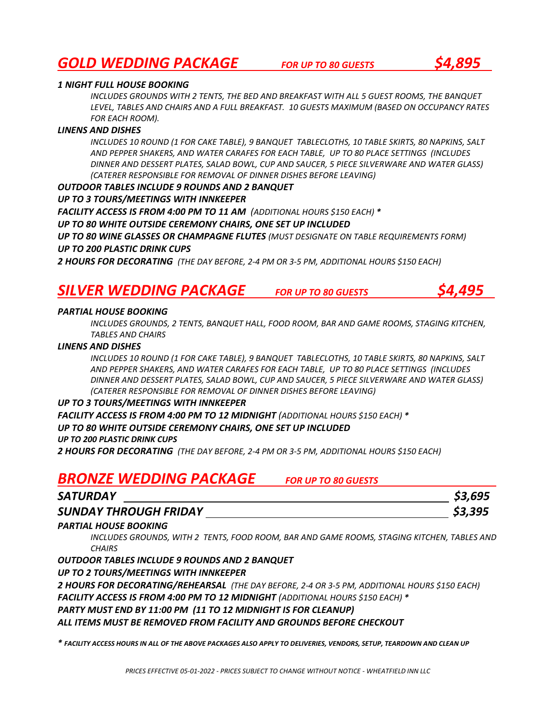# *GOLD WEDDING PACKAGE FOR UP TO <sup>80</sup> GUESTS \$4,895*



*INCLUDES GROUNDS WITH 2 TENTS, THE BED AND BREAKFAST WITH ALL 5 GUEST ROOMS, THE BANQUET LEVEL, TABLES AND CHAIRS AND A FULL BREAKFAST. 10 GUESTS MAXIMUM (BASED ON OCCUPANCY RATES FOR EACH ROOM).*

#### *LINENS AND DISHES*

*INCLUDES 10 ROUND (1 FOR CAKE TABLE), 9 BANQUET TABLECLOTHS, 10 TABLE SKIRTS, 80 NAPKINS, SALT AND PEPPER SHAKERS, AND WATER CARAFES FOR EACH TABLE, UP TO 80 PLACE SETTINGS (INCLUDES DINNER AND DESSERT PLATES, SALAD BOWL, CUP AND SAUCER, 5 PIECE SILVERWARE AND WATER GLASS) (CATERER RESPONSIBLE FOR REMOVAL OF DINNER DISHES BEFORE LEAVING)*

#### *OUTDOOR TABLES INCLUDE 9 ROUNDS AND 2 BANQUET*

#### *UP TO 3 TOURS/MEETINGS WITH INNKEEPER*

*FACILITY ACCESS IS FROM 4:00 PM TO 11 AM (ADDITIONAL HOURS \$150 EACH) \**

#### *UP TO 80 WHITE OUTSIDE CEREMONY CHAIRS, ONE SET UP INCLUDED*

*UP TO 80 WINE GLASSES OR CHAMPAGNE FLUTES (MUST DESIGNATE ON TABLE REQUIREMENTS FORM) UP TO 200 PLASTIC DRINK CUPS* 

*2 HOURS FOR DECORATING (THE DAY BEFORE, 2-4 PM OR 3-5 PM, ADDITIONAL HOURS \$150 EACH)*

## *SILVER WEDDING PACKAGE FOR UP TO 80 GUESTS \$4,495*

#### *PARTIAL HOUSE BOOKING*

*INCLUDES GROUNDS, 2 TENTS, BANQUET HALL, FOOD ROOM, BAR AND GAME ROOMS, STAGING KITCHEN, TABLES AND CHAIRS*

#### *LINENS AND DISHES*

*INCLUDES 10 ROUND (1 FOR CAKE TABLE), 9 BANQUET TABLECLOTHS, 10 TABLE SKIRTS, 80 NAPKINS, SALT AND PEPPER SHAKERS, AND WATER CARAFES FOR EACH TABLE, UP TO 80 PLACE SETTINGS (INCLUDES DINNER AND DESSERT PLATES, SALAD BOWL, CUP AND SAUCER, 5 PIECE SILVERWARE AND WATER GLASS) (CATERER RESPONSIBLE FOR REMOVAL OF DINNER DISHES BEFORE LEAVING)*

#### *UP TO 3 TOURS/MEETINGS WITH INNKEEPER*

*FACILITY ACCESS IS FROM 4:00 PM TO 12 MIDNIGHT (ADDITIONAL HOURS \$150 EACH) \* UP TO 80 WHITE OUTSIDE CEREMONY CHAIRS, ONE SET UP INCLUDED*

*UP TO 200 PLASTIC DRINK CUPS*

*2 HOURS FOR DECORATING (THE DAY BEFORE, 2-4 PM OR 3-5 PM, ADDITIONAL HOURS \$150 EACH)*

# *BRONZE WEDDING PACKAGE FOR UP TO 80 GUESTS*

| <b>SATURDAY</b>              | \$3,695 |
|------------------------------|---------|
| <b>SUNDAY THROUGH FRIDAY</b> | \$3,395 |

#### *PARTIAL HOUSE BOOKING*

*INCLUDES GROUNDS, WITH 2 TENTS, FOOD ROOM, BAR AND GAME ROOMS, STAGING KITCHEN, TABLES AND CHAIRS*

*OUTDOOR TABLES INCLUDE 9 ROUNDS AND 2 BANQUET* 

#### *UP TO 2 TOURS/MEETINGS WITH INNKEEPER*

*2 HOURS FOR DECORATING/REHEARSAL (THE DAY BEFORE, 2-4 OR 3-5 PM, ADDITIONAL HOURS \$150 EACH) FACILITY ACCESS IS FROM 4:00 PM TO 12 MIDNIGHT (ADDITIONAL HOURS \$150 EACH) \**

*PARTY MUST END BY 11:00 PM (11 TO 12 MIDNIGHT IS FOR CLEANUP)*

## *ALL ITEMS MUST BE REMOVED FROM FACILITY AND GROUNDS BEFORE CHECKOUT*

*\* FACILITY ACCESS HOURS IN ALL OF THE ABOVE PACKAGES ALSO APPLY TO DELIVERIES, VENDORS, SETUP, TEARDOWN AND CLEAN UP*